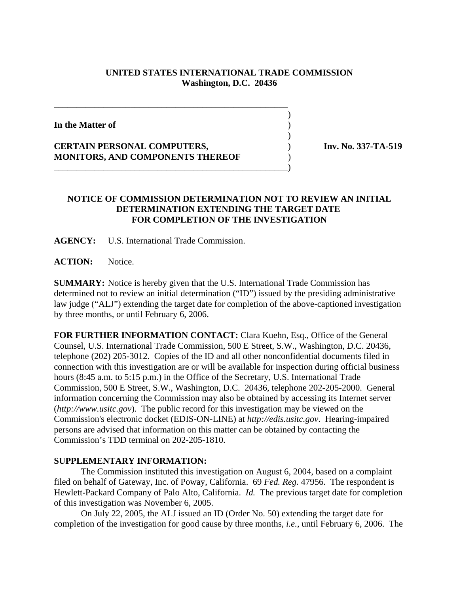## **UNITED STATES INTERNATIONAL TRADE COMMISSION Washington, D.C. 20436**

 $\overline{\phantom{a}}$ 

 $\overline{\phantom{a}}$ 

**In the Matter of** )

**CERTAIN PERSONAL COMPUTERS,** ) **Inv. No. 337-TA-519 MONITORS, AND COMPONENTS THEREOF** )

\_\_\_\_\_\_\_\_\_\_\_\_\_\_\_\_\_\_\_\_\_\_\_\_\_\_\_\_\_\_\_\_\_\_\_\_\_\_\_\_\_\_\_\_\_\_\_\_\_\_\_\_

\_\_\_\_\_\_\_\_\_\_\_\_\_\_\_\_\_\_\_\_\_\_\_\_\_\_\_\_\_\_\_\_\_\_\_\_\_\_\_\_\_\_\_\_\_\_\_\_\_\_\_\_)

## **NOTICE OF COMMISSION DETERMINATION NOT TO REVIEW AN INITIAL DETERMINATION EXTENDING THE TARGET DATE FOR COMPLETION OF THE INVESTIGATION**

**AGENCY:** U.S. International Trade Commission.

ACTION: Notice.

**SUMMARY:** Notice is hereby given that the U.S. International Trade Commission has determined not to review an initial determination ("ID") issued by the presiding administrative law judge ("ALJ") extending the target date for completion of the above-captioned investigation by three months, or until February 6, 2006.

**FOR FURTHER INFORMATION CONTACT:** Clara Kuehn, Esq., Office of the General Counsel, U.S. International Trade Commission, 500 E Street, S.W., Washington, D.C. 20436, telephone (202) 205-3012. Copies of the ID and all other nonconfidential documents filed in connection with this investigation are or will be available for inspection during official business hours (8:45 a.m. to 5:15 p.m.) in the Office of the Secretary, U.S. International Trade Commission, 500 E Street, S.W., Washington, D.C. 20436, telephone 202-205-2000. General information concerning the Commission may also be obtained by accessing its Internet server (*http://www.usitc.gov*). The public record for this investigation may be viewed on the Commission's electronic docket (EDIS-ON-LINE) at *http://edis.usitc.gov*. Hearing-impaired persons are advised that information on this matter can be obtained by contacting the Commission's TDD terminal on 202-205-1810.

## **SUPPLEMENTARY INFORMATION:**

 The Commission instituted this investigation on August 6, 2004, based on a complaint filed on behalf of Gateway, Inc. of Poway, California. 69 *Fed. Reg.* 47956. The respondent is Hewlett-Packard Company of Palo Alto, California. *Id.* The previous target date for completion of this investigation was November 6, 2005.

On July 22, 2005, the ALJ issued an ID (Order No. 50) extending the target date for completion of the investigation for good cause by three months, *i.e.*, until February 6, 2006. The